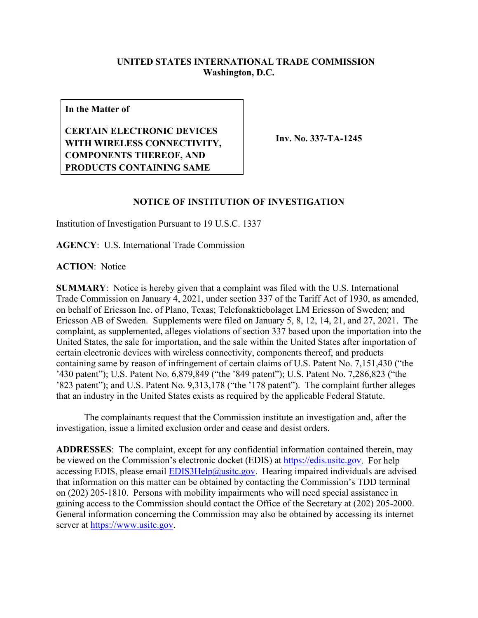## **UNITED STATES INTERNATIONAL TRADE COMMISSION Washington, D.C.**

**In the Matter of**

**CERTAIN ELECTRONIC DEVICES WITH WIRELESS CONNECTIVITY, COMPONENTS THEREOF, AND PRODUCTS CONTAINING SAME**

**Inv. No. 337-TA-1245**

## **NOTICE OF INSTITUTION OF INVESTIGATION**

Institution of Investigation Pursuant to 19 U.S.C. 1337

**AGENCY**: U.S. International Trade Commission

**ACTION**: Notice

**SUMMARY**: Notice is hereby given that a complaint was filed with the U.S. International Trade Commission on January 4, 2021, under section 337 of the Tariff Act of 1930, as amended, on behalf of Ericsson Inc. of Plano, Texas; Telefonaktiebolaget LM Ericsson of Sweden; and Ericsson AB of Sweden. Supplements were filed on January 5, 8, 12, 14, 21, and 27, 2021. The complaint, as supplemented, alleges violations of section 337 based upon the importation into the United States, the sale for importation, and the sale within the United States after importation of certain electronic devices with wireless connectivity, components thereof, and products containing same by reason of infringement of certain claims of U.S. Patent No. 7,151,430 ("the '430 patent"); U.S. Patent No. 6,879,849 ("the '849 patent"); U.S. Patent No. 7,286,823 ("the '823 patent"); and U.S. Patent No. 9,313,178 ("the '178 patent"). The complaint further alleges that an industry in the United States exists as required by the applicable Federal Statute.

The complainants request that the Commission institute an investigation and, after the investigation, issue a limited exclusion order and cease and desist orders.

**ADDRESSES**: The complaint, except for any confidential information contained therein, may be viewed on the Commission's electronic docket (EDIS) at [https://edis.usitc.gov.](https://edis.usitc.gov/) For help accessing EDIS, please email  $EDIS3Help@usite.gov$ . Hearing impaired individuals are advised that information on this matter can be obtained by contacting the Commission's TDD terminal on (202) 205-1810. Persons with mobility impairments who will need special assistance in gaining access to the Commission should contact the Office of the Secretary at (202) 205-2000. General information concerning the Commission may also be obtained by accessing its internet server at [https://www.usitc.gov.](https://www.usitc.gov/)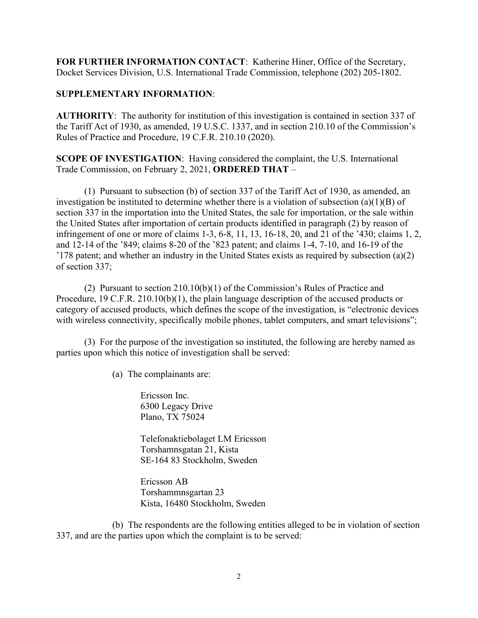**FOR FURTHER INFORMATION CONTACT**: Katherine Hiner, Office of the Secretary, Docket Services Division, U.S. International Trade Commission, telephone (202) 205-1802.

## **SUPPLEMENTARY INFORMATION**:

**AUTHORITY**: The authority for institution of this investigation is contained in section 337 of the Tariff Act of 1930, as amended, 19 U.S.C. 1337, and in section 210.10 of the Commission's Rules of Practice and Procedure, 19 C.F.R. 210.10 (2020).

**SCOPE OF INVESTIGATION**: Having considered the complaint, the U.S. International Trade Commission, on February 2, 2021, **ORDERED THAT** –

(1) Pursuant to subsection (b) of section 337 of the Tariff Act of 1930, as amended, an investigation be instituted to determine whether there is a violation of subsection (a)(1)(B) of section 337 in the importation into the United States, the sale for importation, or the sale within the United States after importation of certain products identified in paragraph (2) by reason of infringement of one or more of claims 1-3, 6-8, 11, 13, 16-18, 20, and 21 of the '430; claims 1, 2, and 12-14 of the '849; claims 8-20 of the '823 patent; and claims 1-4, 7-10, and 16-19 of the '178 patent; and whether an industry in the United States exists as required by subsection (a)(2) of section 337;

(2) Pursuant to section 210.10(b)(1) of the Commission's Rules of Practice and Procedure, 19 C.F.R. 210.10(b)(1), the plain language description of the accused products or category of accused products, which defines the scope of the investigation, is "electronic devices with wireless connectivity, specifically mobile phones, tablet computers, and smart televisions";

(3) For the purpose of the investigation so instituted, the following are hereby named as parties upon which this notice of investigation shall be served:

(a) The complainants are:

Ericsson Inc. 6300 Legacy Drive Plano, TX 75024

Telefonaktiebolaget LM Ericsson Torshamnsgatan 21, Kista SE-164 83 Stockholm, Sweden

Ericsson AB Torshammnsgartan 23 Kista, 16480 Stockholm, Sweden

(b) The respondents are the following entities alleged to be in violation of section 337, and are the parties upon which the complaint is to be served: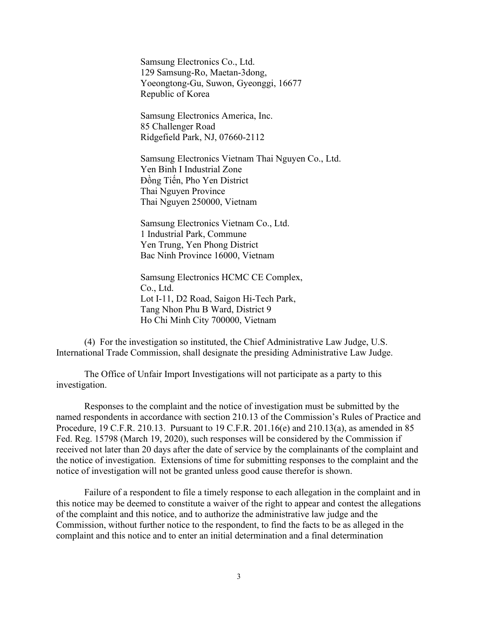Samsung Electronics Co., Ltd. 129 Samsung-Ro, Maetan-3dong, Yoeongtong-Gu, Suwon, Gyeonggi, 16677 Republic of Korea

Samsung Electronics America, Inc. 85 Challenger Road Ridgefield Park, NJ, 07660-2112

Samsung Electronics Vietnam Thai Nguyen Co., Ltd. Yen Binh I Industrial Zone Đồng Tiến, Pho Yen District Thai Nguyen Province Thai Nguyen 250000, Vietnam

Samsung Electronics Vietnam Co., Ltd. 1 Industrial Park, Commune Yen Trung, Yen Phong District Bac Ninh Province 16000, Vietnam

Samsung Electronics HCMC CE Complex, Co., Ltd. Lot I-11, D2 Road, Saigon Hi-Tech Park, Tang Nhon Phu B Ward, District 9 Ho Chi Minh City 700000, Vietnam

(4) For the investigation so instituted, the Chief Administrative Law Judge, U.S. International Trade Commission, shall designate the presiding Administrative Law Judge.

The Office of Unfair Import Investigations will not participate as a party to this investigation.

Responses to the complaint and the notice of investigation must be submitted by the named respondents in accordance with section 210.13 of the Commission's Rules of Practice and Procedure, 19 C.F.R. 210.13. Pursuant to 19 C.F.R. 201.16(e) and 210.13(a), as amended in 85 Fed. Reg. 15798 (March 19, 2020), such responses will be considered by the Commission if received not later than 20 days after the date of service by the complainants of the complaint and the notice of investigation. Extensions of time for submitting responses to the complaint and the notice of investigation will not be granted unless good cause therefor is shown.

Failure of a respondent to file a timely response to each allegation in the complaint and in this notice may be deemed to constitute a waiver of the right to appear and contest the allegations of the complaint and this notice, and to authorize the administrative law judge and the Commission, without further notice to the respondent, to find the facts to be as alleged in the complaint and this notice and to enter an initial determination and a final determination